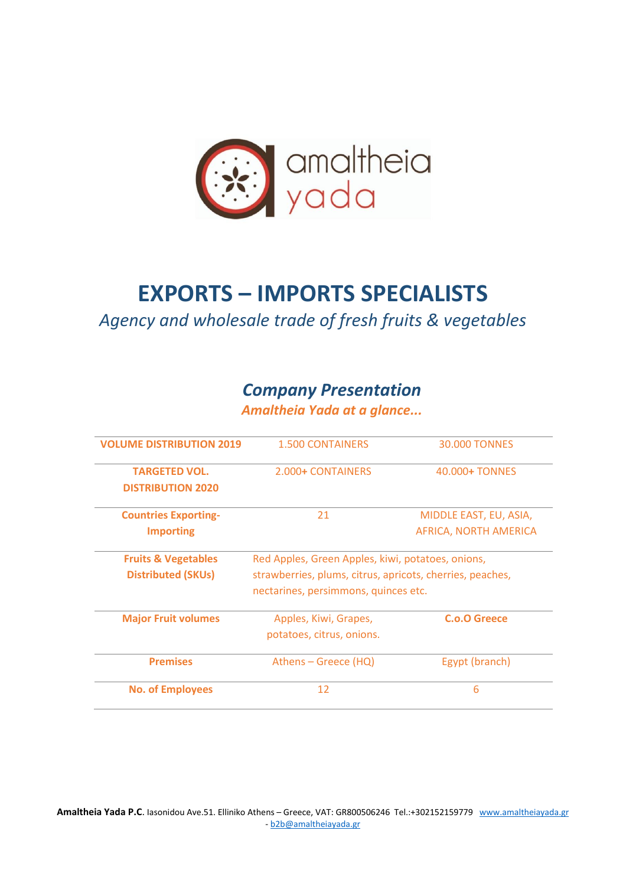

# **EXPORTS – IMPORTS SPECIALISTS**

# *Agency and wholesale trade of fresh fruits & vegetables*

## *Company Presentation*

*Amaltheia Yada at a glance...*

| <b>VOLUME DISTRIBUTION 2019</b> | <b>1.500 CONTAINERS</b>                                   | <b>30,000 TONNES</b>   |
|---------------------------------|-----------------------------------------------------------|------------------------|
| <b>TARGETED VOL.</b>            | 2.000+ CONTAINERS                                         | 40.000+ TONNES         |
| <b>DISTRIBUTION 2020</b>        |                                                           |                        |
| <b>Countries Exporting-</b>     | 21                                                        | MIDDLE EAST, EU, ASIA, |
| <b>Importing</b>                |                                                           | AFRICA, NORTH AMERICA  |
| <b>Fruits &amp; Vegetables</b>  | Red Apples, Green Apples, kiwi, potatoes, onions,         |                        |
| <b>Distributed (SKUs)</b>       | strawberries, plums, citrus, apricots, cherries, peaches, |                        |
|                                 | nectarines, persimmons, quinces etc.                      |                        |
| <b>Major Fruit volumes</b>      | Apples, Kiwi, Grapes,                                     | C.o.O Greece           |
|                                 | potatoes, citrus, onions.                                 |                        |
| <b>Premises</b>                 | Athens – Greece (HQ)                                      | Egypt (branch)         |
| <b>No. of Employees</b>         | 12                                                        | 6                      |

**Amaltheia Yada P.C**. Iasonidou Ave.51. Elliniko Athens – Greece, VAT: GR800506246 Tel.:+302152159779 [www.amaltheiayada.gr](http://www.amaltheiayada.gr/)  - [b2b@amaltheiayada.gr](mailto:b2b@amaltheiayada.gr)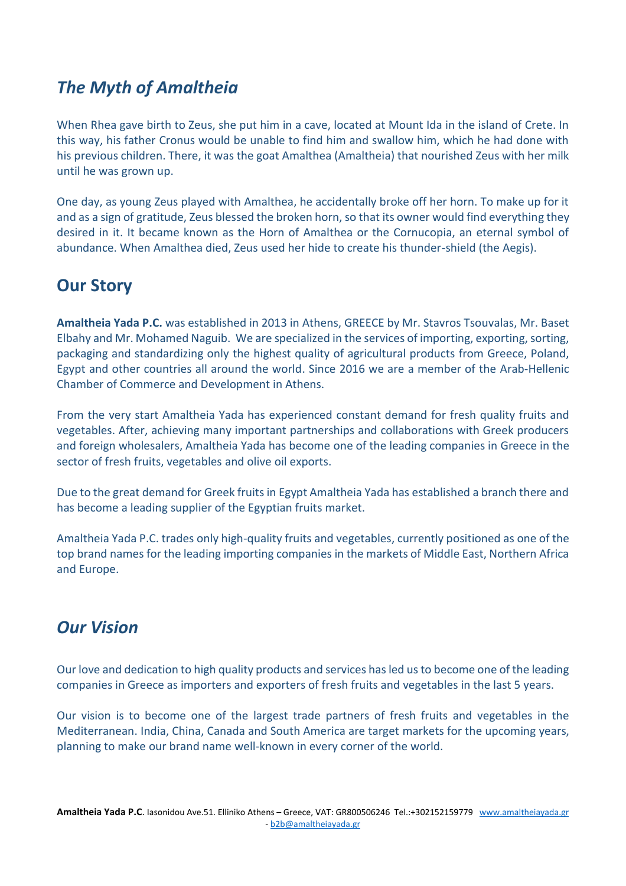## *The Myth of Amaltheia*

When Rhea gave birth to Zeus, she put him in a cave, located at Mount Ida in the island of Crete. In this way, his father Cronus would be unable to find him and swallow him, which he had done with his previous children. There, it was the goat Amalthea (Amaltheia) that nourished Zeus with her milk until he was grown up.

One day, as young Zeus played with Amalthea, he accidentally broke off her horn. To make up for it and as a sign of gratitude, Zeus blessed the broken horn, so that its owner would find everything they desired in it. It became known as the Horn of Amalthea or the Cornucopia, an eternal symbol of abundance. When Amalthea died, Zeus used her hide to create his thunder-shield (the Aegis).

## **Our Story**

**Amaltheia Yada P.C.** was established in 2013 in Athens, GREECE by Mr. Stavros Tsouvalas, Mr. Baset Elbahy and Mr. Mohamed Naguib. We are specialized in the services of importing, exporting, sorting, packaging and standardizing only the highest quality of agricultural products from Greece, Poland, Egypt and other countries all around the world. Since 2016 we are a member of the Arab-Hellenic Chamber of Commerce and Development in Athens.

From the very start Amaltheia Yada has experienced constant demand for fresh quality fruits and vegetables. After, achieving many important partnerships and collaborations with Greek producers and foreign wholesalers, Amaltheia Yada has become one of the leading companies in Greece in the sector of fresh fruits, vegetables and olive oil exports.

Due to the great demand for Greek fruits in Egypt Amaltheia Yada has established a branch there and has become a leading supplier of the Egyptian fruits market.

Amaltheia Yada P.C. trades only high-quality fruits and vegetables, currently positioned as one of the top brand names for the leading importing companies in the markets of Middle East, Northern Africa and Europe.

### *Our Vision*

Our love and dedication to high quality products and services has led us to become one of the leading companies in Greece as importers and exporters of fresh fruits and vegetables in the last 5 years.

Our vision is to become one of the largest trade partners of fresh fruits and vegetables in the Mediterranean. India, China, Canada and South America are target markets for the upcoming years, planning to make our brand name well-known in every corner of the world.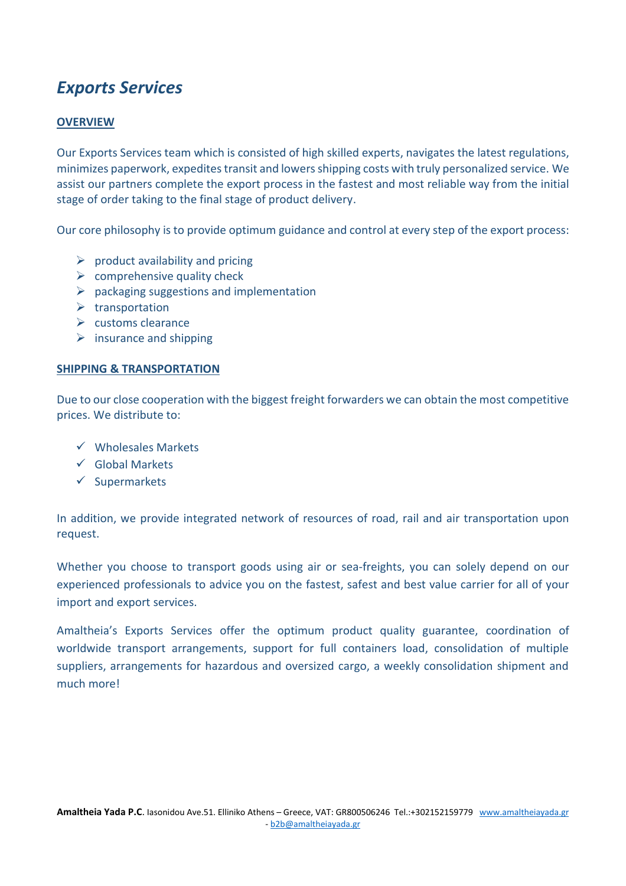## *Exports Services*

#### **OVERVIEW**

Our Exports Services team which is consisted of high skilled experts, navigates the latest regulations, minimizes paperwork, expedites transit and lowers shipping costs with truly personalized service. We assist our partners complete the export process in the fastest and most reliable way from the initial stage of order taking to the final stage of product delivery.

Our core philosophy is to provide optimum guidance and control at every step of the export process:

- $\triangleright$  product availability and pricing
- $\triangleright$  comprehensive quality check
- $\triangleright$  packaging suggestions and implementation
- ➢ transportation
- $\triangleright$  customs clearance
- $\triangleright$  insurance and shipping

#### **SHIPPING & TRANSPORTATION**

Due to our close cooperation with the biggest freight forwarders we can obtain the most competitive prices. We distribute to:

- ✓ Wholesales Markets
- $\checkmark$  Global Markets
- ✓ Supermarkets

In addition, we provide integrated network of resources of road, rail and air transportation upon request.

Whether you choose to transport goods using air or sea-freights, you can solely depend on our experienced professionals to advice you on the fastest, safest and best value carrier for all of your import and export services.

Amaltheia's Exports Services offer the optimum product quality guarantee, coordination of worldwide transport arrangements, support for full containers load, consolidation of multiple suppliers, arrangements for hazardous and oversized cargo, a weekly consolidation shipment and much more!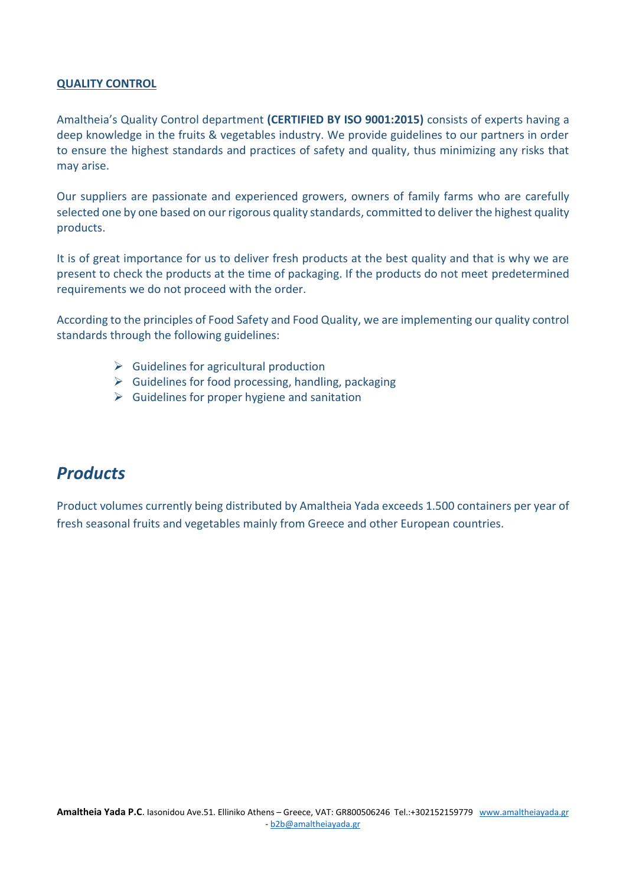#### **QUALITY CONTROL**

Amaltheia's Quality Control department **(CERTIFIED BY ISO 9001:2015)** consists of experts having a deep knowledge in the fruits & vegetables industry. We provide guidelines to our partners in order to ensure the highest standards and practices of safety and quality, thus minimizing any risks that may arise.

Our suppliers are passionate and experienced growers, owners of family farms who are carefully selected one by one based on our rigorous quality standards, committed to deliver the highest quality products.

It is of great importance for us to deliver fresh products at the best quality and that is why we are present to check the products at the time of packaging. If the products do not meet predetermined requirements we do not proceed with the order.

According to the principles of Food Safety and Food Quality, we are implementing our quality control standards through the following guidelines:

- $\triangleright$  Guidelines for agricultural production
- $\triangleright$  Guidelines for food processing, handling, packaging
- $\triangleright$  Guidelines for proper hygiene and sanitation

#### *Products*

Product volumes currently being distributed by Amaltheia Yada exceeds 1.500 containers per year of fresh seasonal fruits and vegetables mainly from Greece and other European countries.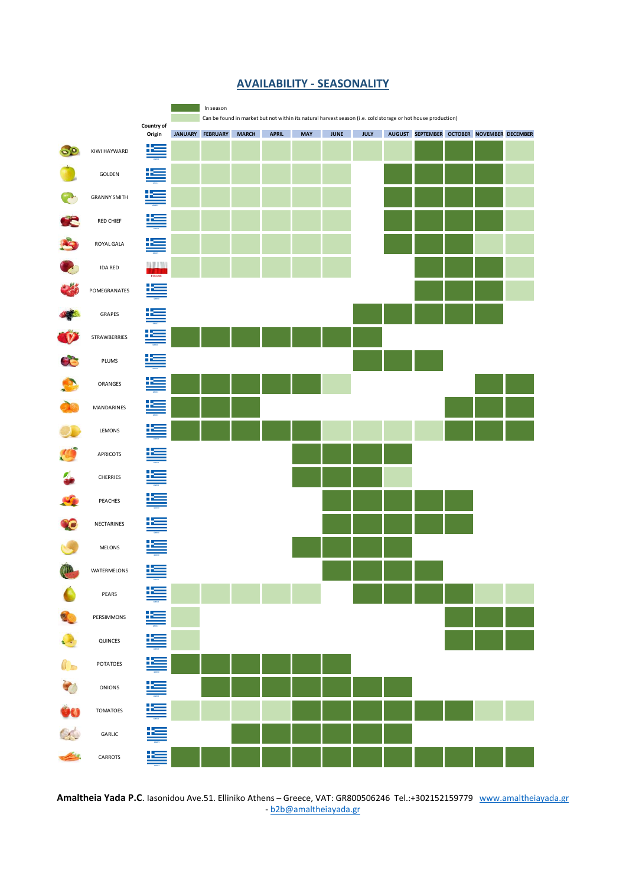#### **AVAILABILITY - SEASONALITY**



**Amaltheia Yada P.C**. Iasonidou Ave.51. Elliniko Athens – Greece, VAT: GR800506246 Tel.:+302152159779 [www.amaltheiayada.gr](http://www.amaltheiayada.gr/)  - [b2b@amaltheiayada.gr](mailto:b2b@amaltheiayada.gr)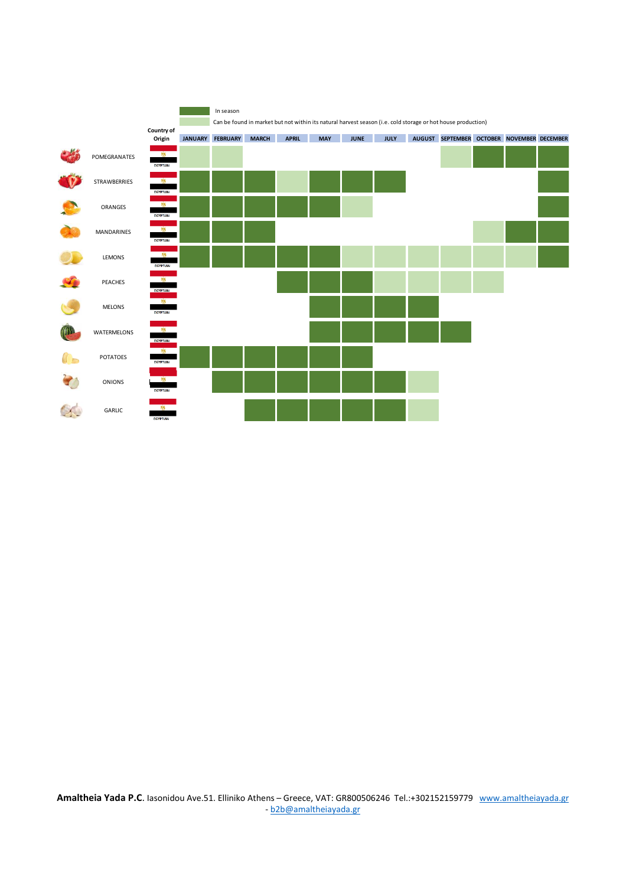

**Amaltheia Yada P.C**. Iasonidou Ave.51. Elliniko Athens – Greece, VAT: GR800506246 Tel.:+302152159779 [www.amaltheiayada.gr](http://www.amaltheiayada.gr/)